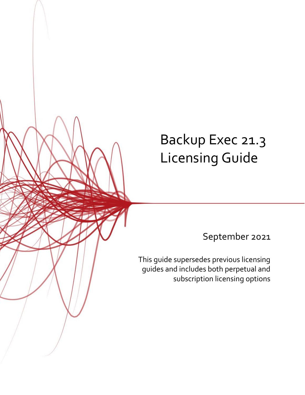# Backup Exec 21.3 Licensing Guide

September 2021

This guide supersedes previous licensing guides and includes both perpetual and subscription licensing options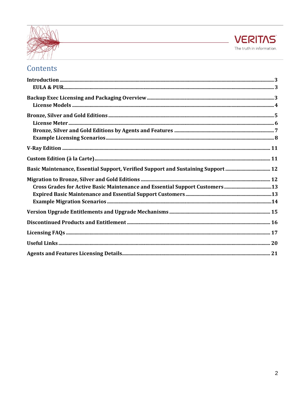



### Contents

| Basic Maintenance, Essential Support, Verified Support and Sustaining Support  12 |  |
|-----------------------------------------------------------------------------------|--|
|                                                                                   |  |
| Cross Grades for Active Basic Maintenance and Essential Support Customers13       |  |
|                                                                                   |  |
|                                                                                   |  |
|                                                                                   |  |
|                                                                                   |  |
|                                                                                   |  |
|                                                                                   |  |
|                                                                                   |  |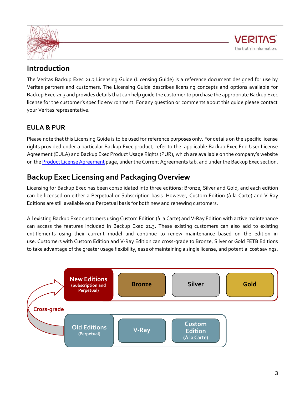



### <span id="page-2-0"></span>**Introduction**

The Veritas Backup Exec 21.3 Licensing Guide (Licensing Guide) is a reference document designed for use by Veritas partners and customers. The Licensing Guide describes licensing concepts and options available for Backup Exec 21.3 and provides details that can help guide the customer to purchase the appropriate Backup Exec license for the customer's specific environment. For any question or comments about this guide please contact your Veritas representative.

### <span id="page-2-1"></span>**EULA & PUR**

Please note that this Licensing Guide is to be used for reference purposes only. For details on the specific license rights provided under a particular Backup Exec product, refer to the applicable Backup Exec End User License Agreement (EULA) and Backup Exec Product Usage Rights (PUR), which are available on the company's website on th[e Product License Agreement](https://www.veritas.com/company/legal/license-agreements) page, under the Current Agreements tab, and under the Backup Exec section.

### <span id="page-2-2"></span>**Backup Exec Licensing and Packaging Overview**

Licensing for Backup Exec has been consolidated into three editions: Bronze, Silver and Gold, and each edition can be licensed on either a Perpetual or Subscription basis. However, Custom Edition (à la Carte) and V-Ray Editions are still available on a Perpetual basis for both new and renewing customers.

All existing Backup Exec customers using Custom Edition (à la Carte) and V-Ray Edition with active maintenance can access the features included in Backup Exec 21.3. These existing customers can also add to existing entitlements using their current model and continue to renew maintenance based on the edition in use. Customers with Custom Edition and V-Ray Edition can cross-grade to Bronze, Silver or Gold FETB Editions to take advantage of the greater usage flexibility, ease of maintaining a single license, and potential cost savings.

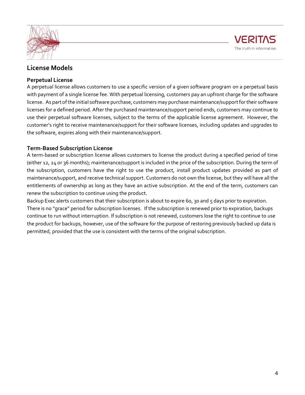



### <span id="page-3-0"></span>**License Models**

### **Perpetual License**

A perpetual license allows customers to use a specific version of a given software program on a perpetual basis with payment of a single license fee. With perpetual licensing, customers pay an upfront charge for the software license. As part of the initial software purchase, customers may purchase maintenance/support for their software licenses for a defined period. After the purchased maintenance/support period ends, customers may continue to use their perpetual software licenses, subject to the terms of the applicable license agreement. However, the customer's right to receive maintenance/support for their software licenses, including updates and upgrades to the software, expires along with their maintenance/support.

### **Term-Based Subscription License**

A term-based or subscription license allows customers to license the product during a specified period of time (either 12, 24 or 36 months); maintenance/support is included in the price of the subscription. During the term of the subscription, customers have the right to use the product, install product updates provided as part of maintenance/support, and receive technical support. Customers do not own the license, but they will have all the entitlements of ownership as long as they have an active subscription. At the end of the term, customers can renew the subscription to continue using the product.

Backup Exec alerts customers that their subscription is about to expire 60, 30 and 5 days prior to expiration. There is no "grace" period for subscription licenses. If the subscription is renewed prior to expiration, backups continue to run without interruption. If subscription is not renewed, customers lose the right to continue to use the product for backups, however, use of the software for the purpose of restoring previously backed up data is permitted, provided that the use is consistent with the terms of the original subscription.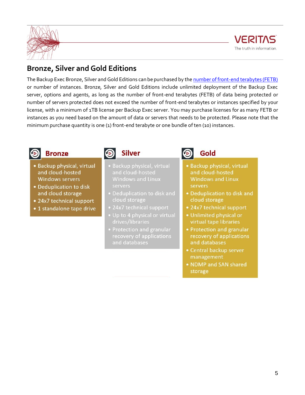



### <span id="page-4-0"></span>**Bronze, Silver and Gold Editions**

The Backup Exec Bronze, Silver and Gold Editions can be purchased by the [number of front-end terabytes \(FETB\)](https://www.veritas.com/support/en_US/article.100015943) or number of instances. Bronze, Silver and Gold Editions include unlimited deployment of the Backup Exec server, options and agents, as long as the number of front-end terabytes (FETB) of data being protected or number of servers protected does not exceed the number of front-end terabytes or instances specified by your license, with a minimum of 1TB license per Backup Exec server. You may purchase licenses for as many FETB or instances as you need based on the amount of data or servers that needs to be protected. Please note that the minimum purchase quantity is one (1) front-end terabyte or one bundle of ten (10) instances.



### **Bronze**

- Backup physical, virtual and cloud-hosted **Windows servers**
- · Deduplication to disk and cloud storage
- 24x7 technical support
- 1 standalone tape drive



- and cloud-hosted **Windows and Linux** servers
- · Deduplication to disk and cloud storage
- 24x7 technical support
- Up to 4 physical or virtual
- Protection and granular recovery of applications and databases

Gold

- · Backup physical, virtual and cloud-hosted **Windows and Linux** servers
- Deduplication to disk and cloud storage
- 24x7 technical support
- · Unlimited physical or virtual tape libraries
- Protection and granular recovery of applications and databases
- Central backup server management
- . NDMP and SAN shared storage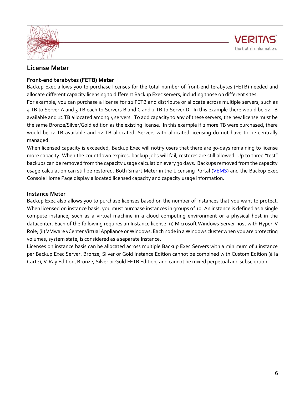



### <span id="page-5-0"></span>**License Meter**

### **Front-end terabytes (FETB) Meter**

Backup Exec allows you to purchase licenses for the total [number of front-end terabytes \(FETB\)](https://www.veritas.com/support/en_US/article.100015943) needed and allocate different capacity licensing to different Backup Exec servers, including those on different sites.

For example, you can purchase a license for 12 FETB and distribute or allocate across multiple servers, such as 4 TB to Server A and 3 TB each to Servers B and C and 2 TB to Server D. In this example there would be 12 TB available and 12 TB allocated among 4 servers. To add capacity to any of these servers, the new license must be the same Bronze/Silver/Gold edition as the existing license. In this example if 2 more TB were purchased, there would be 14 TB available and 12 TB allocated. Servers with allocated licensing do not have to be centrally managed.

When licensed capacity is exceeded, Backup Exec will notify users that there are 30-days remaining to license more capacity. When the countdown expires, backup jobs will fail, restores are still allowed. Up to three "test" backups can be removed from the capacity usage calculation every 30 days. Backups removed from the capacity usage calculation can still be restored. Both Smart Meter in the Licensing Portal [\(VEMS\)](https://www.veritas.com/support) and the Backup Exec Console Home Page display allocated licensed capacity and capacity usage information.

### **Instance Meter**

Backup Exec also allows you to purchase licenses based on the number of instances that you want to protect. When licensed on instance basis, you must purchase instances in groups of 10. An instance is defined as a single compute instance, such as a virtual machine in a cloud computing environment or a physical host in the datacenter. Each of the following requires an Instance license: (i) Microsoft Windows Server host with Hyper-V Role; (ii) VMware vCenter Virtual Appliance or Windows. Each node in a Windows cluster when you are protecting volumes, system state, is considered as a separate Instance.

Licenses on instance basis can be allocated across multiple Backup Exec Servers with a minimum of 1 instance per Backup Exec Server. Bronze, Silver or Gold Instance Edition cannot be combined with Custom Edition (à la Carte), V-Ray Edition, Bronze, Silver or Gold FETB Edition, and cannot be mixed perpetual and subscription.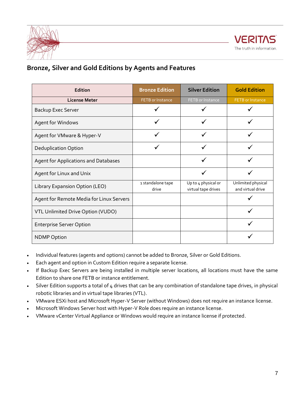



### <span id="page-6-0"></span>**Bronze, Silver and Gold Editions by Agents and Features**

| Edition                                  | <b>Bronze Edition</b>      | <b>Silver Edition</b>                      | <b>Gold Edition</b>                     |
|------------------------------------------|----------------------------|--------------------------------------------|-----------------------------------------|
| <b>License Meter</b>                     | <b>FETB</b> or Instance    | FETB or Instance                           | <b>FETB</b> or Instance                 |
| Backup Exec Server                       |                            |                                            |                                         |
| Agent for Windows                        |                            |                                            |                                         |
| Agent for VMware & Hyper-V               |                            |                                            |                                         |
| <b>Deduplication Option</b>              |                            |                                            |                                         |
| Agent for Applications and Databases     |                            |                                            |                                         |
| Agent for Linux and Unix                 |                            |                                            |                                         |
| Library Expansion Option (LEO)           | 1 standalone tape<br>drive | Up to 4 physical or<br>virtual tape drives | Unlimited physical<br>and virtual drive |
| Agent for Remote Media for Linux Servers |                            |                                            |                                         |
| VTL Unlimited Drive Option (VUDO)        |                            |                                            |                                         |
| <b>Enterprise Server Option</b>          |                            |                                            |                                         |
| <b>NDMP Option</b>                       |                            |                                            |                                         |

- Individual features (agents and options) cannot be added to Bronze, Silver or Gold Editions.
- Each agent and option in Custom Edition require a separate license.
- If Backup Exec Servers are being installed in multiple server locations, all locations must have the same Edition to share one FETB or instance entitlement.
- Silver Edition supports a total of 4 drives that can be any combination of standalone tape drives, in physical robotic libraries and in virtual tape libraries (VTL).
- VMware ESXi host and Microsoft Hyper-V Server (without Windows) does not require an instance license.
- Microsoft Windows Server host with Hyper-V Role does require an instance license.
- VMware vCenter Virtual Appliance or Windows would require an instance license if protected.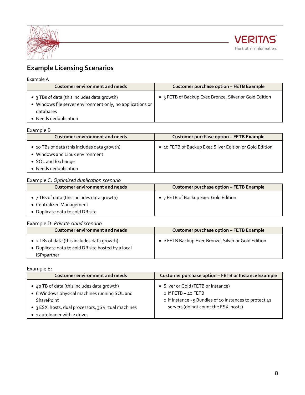



### <span id="page-7-0"></span>**Example Licensing Scenarios**

### Example A

| <b>Customer environment and needs</b>                                                                                                           | <b>Customer purchase option - FETB Example</b>         |
|-------------------------------------------------------------------------------------------------------------------------------------------------|--------------------------------------------------------|
| • 3 TBs of data (this includes data growth)<br>• Windows file server environment only, no applications or<br>databases<br>• Needs deduplication | • 3 FETB of Backup Exec Bronze, Silver or Gold Edition |
|                                                                                                                                                 |                                                        |

### Example B

| <b>Customer environment and needs</b>                                                                                      | <b>Customer purchase option - FETB Example</b>          |
|----------------------------------------------------------------------------------------------------------------------------|---------------------------------------------------------|
| • 10 TBs of data (this includes data growth)<br>Windows and Linux environment<br>• SQL and Exchange<br>Needs deduplication | • 10 FETB of Backup Exec Silver Edition or Gold Edition |

### Example C: *Optimized duplication scenario*

| <b>Customer environment and needs</b>                                                                       | <b>Customer purchase option - FETB Example</b> |
|-------------------------------------------------------------------------------------------------------------|------------------------------------------------|
| • 7 TBs of data (this includes data growth)<br>• Centralized Management<br>• Duplicate data to cold DR site | • 7 FETB of Backup Exec Gold Edition           |

### Example D: *Private cloud scenario*

| Customer environment and needs                                                                                   | <b>Customer purchase option - FETB Example</b>      |
|------------------------------------------------------------------------------------------------------------------|-----------------------------------------------------|
| • 2 TBs of data (this includes data growth)<br>• Duplicate data to cold DR site hosted by a local<br>ISP/partner | • 2 FETB Backup Exec Bronze, Silver or Gold Edition |

### Example E:

| <b>Customer environment and needs</b>                                                                                                                                                                     | Customer purchase option - FETB or Instance Example                                                                                                              |
|-----------------------------------------------------------------------------------------------------------------------------------------------------------------------------------------------------------|------------------------------------------------------------------------------------------------------------------------------------------------------------------|
| • 40 TB of data (this includes data growth)<br>• 6 Windows physical machines running SQL and<br><b>SharePoint</b><br>• 3 ESXi hosts, dual processors, 36 virtual machines<br>• 1 autoloader with 2 drives | • Silver or Gold (FETB or Instance)<br>o If FETB $-$ 40 FETB<br>o If Instance - 5 Bundles of 10 instances to protect 42<br>servers (do not count the ESXi hosts) |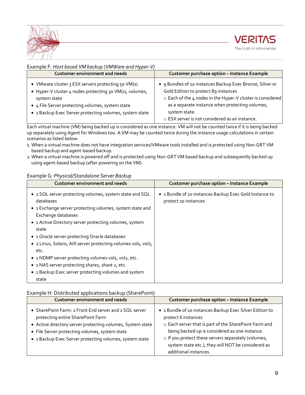

#### Example F: *Host based VM backup (VMWare and Hyper-V)*

| <b>Customer environment and needs</b>                                                                                                                                                                                                        | <b>Customer purchase option - Instance Example</b>                                                                                                                                                                                                                                    |
|----------------------------------------------------------------------------------------------------------------------------------------------------------------------------------------------------------------------------------------------|---------------------------------------------------------------------------------------------------------------------------------------------------------------------------------------------------------------------------------------------------------------------------------------|
| • VMware cluster 3 ESX servers protecting 50 VM(s)<br>• Hyper-V cluster 4 nodes protecting 30 VM(s), volumes,<br>system state<br>• 4 File Server protecting volumes, system state<br>• 1 Backup Exec Server protecting volumes, system state | • 9 Bundles of 10 instances Backup Exec Bronze, Silver or<br>Gold Edition to protect 89 instances<br>o Each of the 4 nodes in the Hyper-V cluster is considered<br>as a separate instance when protecting volumes,<br>system state.<br>o ESX server is not considered as an instance. |

Each virtual machine (VM) being backed up is considered as one instance. VM will not be counted twice if it is being backed up separately using Agent for Windows too. A VM may be counted twice during the instance usage calculations in certain scenarios as listed below:

- 1. When a virtual machine does not have integration services/VMware tools installed and is protected using Non-GRT VM based backup and agent-based backup.
- 2.When a virtual machine is powered off and is protected using Non-GRT VM based backup and subsequently backed up using agent-based backup (after powering on the VM).

### Example G: *Physical/Standalone Server Backup*

| <b>Customer environment and needs</b>                                                                                                                                                                                                                                                             | <b>Customer purchase option - Instance Example</b>                              |
|---------------------------------------------------------------------------------------------------------------------------------------------------------------------------------------------------------------------------------------------------------------------------------------------------|---------------------------------------------------------------------------------|
| • 2 SQL server protecting volumes, system state and SQL<br>databases<br>• 1 Exchange server protecting volumes, system state and<br>Exchange databases<br>• 1 Active Directory server protecting volumes, system<br>state                                                                         | • 1 Bundle of 10 instances Backup Exec Gold Instance to<br>protect 10 instances |
| • 1 Oracle server protecting Oracle databases<br>• 2 Linux, Solaris, AIX server protecting volumes vol1, vol2,<br>etc.<br>• 1 NDMP server protecting volumes vol1, vol2, etc.<br>• 1 NAS server protecting share1, share 2, etc.<br>• 1 Backup Exec server protecting volumes and system<br>state |                                                                                 |

#### Example H: Distributed applications backup (SharePoint)

| <b>Customer environment and needs</b>                                                                                                                                                                                                                                  | <b>Customer purchase option - Instance Example</b>                                                                                                                                                                                                                                                                               |
|------------------------------------------------------------------------------------------------------------------------------------------------------------------------------------------------------------------------------------------------------------------------|----------------------------------------------------------------------------------------------------------------------------------------------------------------------------------------------------------------------------------------------------------------------------------------------------------------------------------|
| • SharePoint Farm: 2 Front End server and 1 SQL server<br>protecting entire SharePoint Farm<br>• Active directory server protecting volumes, System state<br>• File Server protecting volumes, system state<br>• 1 Backup Exec Server protecting volumes, system state | • 1 Bundle of 10 instances Backup Exec Silver Edition to<br>protect 6 instances<br>o Each server that is part of the SharePoint Farm and<br>being backed up is considered as one instance.<br>o If you protect these servers separately (volumes,<br>system state etc.), they will NOT be considered as<br>additional instances. |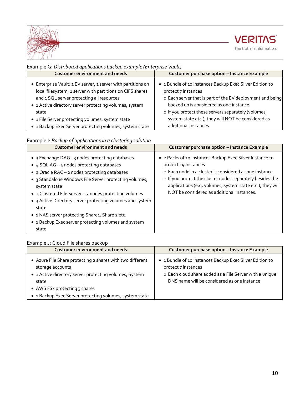



| Example G: Distributed applications backup example (Enterprise Vault)                                                                                                                                                                                                                                                                                    |                                                                                                                                                                                                                                                                                                                                |
|----------------------------------------------------------------------------------------------------------------------------------------------------------------------------------------------------------------------------------------------------------------------------------------------------------------------------------------------------------|--------------------------------------------------------------------------------------------------------------------------------------------------------------------------------------------------------------------------------------------------------------------------------------------------------------------------------|
| <b>Customer environment and needs</b>                                                                                                                                                                                                                                                                                                                    | <b>Customer purchase option - Instance Example</b>                                                                                                                                                                                                                                                                             |
| • Enterprise Vault: 1 EV server, 1 server with partitions on<br>local filesystem, 1 server with partitions on CIFS shares<br>and 1 SQL server protecting all resources<br>• 1 Active directory server protecting volumes, system<br>state<br>• 1 File Server protecting volumes, system state<br>• 1 Backup Exec Server protecting volumes, system state | • 1 Bundle of 10 instances Backup Exec Silver Edition to<br>protect 7 instances<br>o Each server that is part of the EV deployment and being<br>backed up is considered as one instance.<br>o If you protect these servers separately (volumes,<br>system state etc.), they will NOT be considered as<br>additional instances. |

### Example I: *Backup of applications in a clustering solution*

| Customer environment and needs                                                                                                                                                                                                                                                                                                                                                                                                                                                 | <b>Customer purchase option - Instance Example</b>                                                                                                                                                                                                                                                                       |
|--------------------------------------------------------------------------------------------------------------------------------------------------------------------------------------------------------------------------------------------------------------------------------------------------------------------------------------------------------------------------------------------------------------------------------------------------------------------------------|--------------------------------------------------------------------------------------------------------------------------------------------------------------------------------------------------------------------------------------------------------------------------------------------------------------------------|
| • 3 Exchange DAG - 3 nodes protecting databases<br>• $4$ SQL AG – $4$ nodes protecting databases<br>• 2 Oracle RAC - 2 nodes protecting databases<br>• 3 Standalone Windows File Server protecting volumes,<br>system state<br>• 2 Clustered File Server - 2 nodes protecting volumes<br>• 3 Active Directory server protecting volumes and system<br>state<br>• 1 NAS server protecting Share1, Share 2 etc.<br>• 1 Backup Exec server protecting volumes and system<br>state | • 2 Packs of 10 instances Backup Exec Silver Instance to<br>protect 19 Instances<br>$\circ$ Each node in a cluster is considered as one instance<br>o If you protect the cluster nodes separately besides the<br>applications (e.g. volumes, system state etc.), they will<br>NOT be considered as additional instances. |

### Example J: Cloud File shares backup

<span id="page-9-0"></span>

| <b>Customer environment and needs</b>                                                                                                                                                                                                        | <b>Customer purchase option - Instance Example</b>                                                                                                                                        |  |  |
|----------------------------------------------------------------------------------------------------------------------------------------------------------------------------------------------------------------------------------------------|-------------------------------------------------------------------------------------------------------------------------------------------------------------------------------------------|--|--|
| • Azure File Share protecting 2 shares with two different<br>storage accounts<br>• 1 Active directory server protecting volumes, System<br>state<br>• AWS FSx protecting 3 shares<br>• 1 Backup Exec Server protecting volumes, system state | • 1 Bundle of 10 instances Backup Exec Silver Edition to<br>protect 7 instances<br>o Each cloud share added as a File Server with a unique<br>DNS name will be considered as one instance |  |  |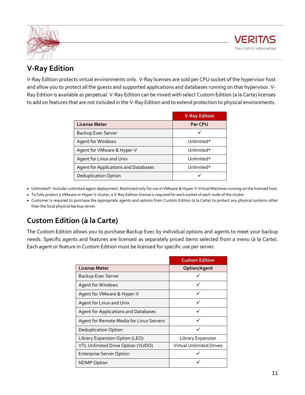



### **V-Ray Edition**

V-Ray Edition protects virtual environments only. V-Ray licenses are sold per CPU socket of the hypervisor host and allow you to protect all the guests and supported applications and databases running on that hypervisor. V-Ray Edition is available as perpetual. V-Ray Edition can be mixed with select Custom Edition (a la Carte) licenses to add on features that are not included in the V-Ray Edition and to extend protection to physical environments.

|                                      | <b>V-Ray Edition</b> |
|--------------------------------------|----------------------|
| <b>License Meter</b>                 | <b>Per CPU</b>       |
| Backup Exec Server                   |                      |
| Agent for Windows                    | Unlimited*           |
| Agent for VMware & Hyper-V           | Unlimited*           |
| Agent for Linux and Unix             | Unlimited*           |
| Agent for Applications and Databases | Unlimited*           |
| <b>Deduplication Option</b>          |                      |

- Unlimited\*: Includes unlimited agent deployment. Restricted only for use in VMware & Hyper-V Virtual Machines running on the licensed host.
- To fully protect a VMware or Hyper-V cluster, a V-Ray Edition license is required for each socket of each node of the cluster.
- Customer is required to purchase the appropriate agents and options from Custom Edition (à la Carte) to protect any physical systems other than the local physical backup server.

### <span id="page-10-0"></span>**Custom Edition (à la Carte)**

The Custom Edition allows you to purchase Backup Exec by individual options and agents to meet your backup needs. Specific agents and features are licensed as separately priced items selected from a menu (à la Carte). Each agent or feature in Custom Edition must be licensed for specific use per server.

|                                             | <b>Custom Edition</b>    |
|---------------------------------------------|--------------------------|
| <b>License Meter</b>                        | <b>Option/Agent</b>      |
| Backup Exec Server                          |                          |
| Agent for Windows                           |                          |
| Agent for VMware & Hyper-V                  |                          |
| Agent for Linux and Unix                    |                          |
| <b>Agent for Applications and Databases</b> |                          |
| Agent for Remote Media for Linux Servers    |                          |
| Deduplication Option                        |                          |
| Library Expansion Option (LEO)              | Library Expansion        |
| VTL Unlimited Drive Option (VUDO)           | Virtual Unlimited Drives |
| <b>Enterprise Server Option</b>             |                          |
| <b>NDMP Option</b>                          |                          |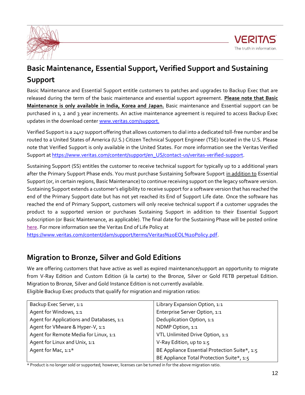



## <span id="page-11-0"></span>**Basic Maintenance, Essential Support, Verified Support and Sustaining Support**

Basic Maintenance and Essential Support entitle customers to patches and upgrades to Backup Exec that are released during the term of the basic maintenance and essential support agreement. **Please note that Basic Maintenance is only available in India, Korea and Japan.** Basic maintenance and Essential support can be purchased in 1, 2 and 3 year increments. An active maintenance agreement is required to access Backup Exec updates in the download cente[r www.veritas.com/support.](http://www.veritas.com/support)

Verified Support is a 24x7 support offering that allows customers to dial into a dedicated toll-free number and be routed to a United States of America (U.S.) Citizen Technical Support Engineer (TSE) located in the U.S. Please note that Verified Support is only available in the United States. For more information see the Veritas Verified Support a[t https://www.veritas.com/content/support/en\\_US/contact-us/veritas-verified-support.](https://www.veritas.com/content/support/en_US/contact-us/veritas-verified-support)

Sustaining Support (SS) entitles the customer to receive technical support for typically up to 2 additional years after the Primary Support Phase ends. You must purchase Sustaining Software Support in addition to Essential Support (or, in certain regions, Basic Maintenance) to continue receiving support on the legacy software version. Sustaining Support extends a customer's eligibility to receive support for a software version that has reached the end of the Primary Support date but has not yet reached its End of Support Life date. Once the software has reached the end of Primary Support, customers will only receive technical support if a customer upgrades the product to a supported version or purchases Sustaining Support in addition to their Essential Support subscription (or Basic Maintenance, as applicable). The final date for the Sustaining Phase will be posted online [here.](https://www.veritas.com/content/support/en_US/eosl) For more information see the Veritas End of Life Policy at

[https://www.veritas.com/content/dam/support/terms/Veritas%20EOL%20Policy.pdf.](https://www.veritas.com/content/dam/support/terms/Veritas%20EOL%20Policy.pdf)

### <span id="page-11-1"></span>**Migration to Bronze, Silver and Gold Editions**

We are offering customers that have active as well as expired maintenance/support an opportunity to migrate from V-Ray Edition and Custom Edition (à la carte) to the Bronze, Silver or Gold FETB perpetual Edition. Migration to Bronze, Silver and Gold Instance Edition is not currently available. Eligible Backup Exec products that qualify for migration and migration ratios:

| Backup Exec Server, 1:1                   | Library Expansion Option, 1:1                 |
|-------------------------------------------|-----------------------------------------------|
| Agent for Windows, 1:1                    | Enterprise Server Option, 1:1                 |
| Agent for Applications and Databases, 1:1 | Deduplication Option, 1:1                     |
| Agent for VMware & Hyper-V, 1:1           | NDMP Option, 1:1                              |
| Agent for Remote Media for Linux, 1:1     | VTL Unlimited Drive Option, 1:1               |
| Agent for Linux and Unix, 1:1             | V-Ray Edition, up to 1:5                      |
| Agent for Mac, 1:1*                       | BE Appliance Essential Protection Suite*, 1:5 |
|                                           | BE Appliance Total Protection Suite*, 1:5     |

\* Product is no longer sold or supported; however, licenses can be turned in for the above migration ratio.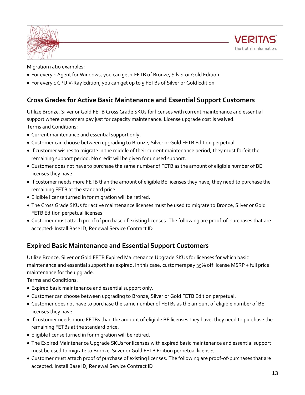



Migration ratio examples:

- For every 1 Agent for Windows, you can get 1 FETB of Bronze, Silver or Gold Edition
- For every 1 CPU V-Ray Edition, you can get up to 5 FETBs of Silver or Gold Edition

### <span id="page-12-0"></span>**Cross Grades for Active Basic Maintenance and Essential Support Customers**

Utilize Bronze, Silver or Gold FETB Cross Grade SKUs for licenses with current maintenance and essential support where customers pay just for capacity maintenance. License upgrade cost is waived. Terms and Conditions:

- Current maintenance and essential support only.
- Customer can choose between upgrading to Bronze, Silver or Gold FETB Edition perpetual.
- If customer wishes to migrate in the middle of their current maintenance period, they must forfeit the remaining support period. No credit will be given for unused support.
- Customer does not have to purchase the same number of FETB as the amount of eligible number of BE licenses they have.
- If customer needs more FETB than the amount of eligible BE licenses they have, they need to purchase the remaining FETB at the standard price.
- Eligible license turned in for migration will be retired.
- The Cross Grade SKUs for active maintenance licenses must be used to migrate to Bronze, Silver or Gold FETB Edition perpetual licenses.
- Customer must attach proof of purchase of existing licenses. The following are proof-of-purchases that are accepted: Install Base ID, Renewal Service Contract ID

### <span id="page-12-1"></span>**Expired Basic Maintenance and Essential Support Customers**

Utilize Bronze, Silver or Gold FETB Expired Maintenance Upgrade SKUs for licenses for which basic maintenance and essential support has expired. In this case, customers pay 35% off license MSRP + full price maintenance for the upgrade.

Terms and Conditions:

- Expired basic maintenance and essential support only.
- Customer can choose between upgrading to Bronze, Silver or Gold FETB Edition perpetual.
- Customer does not have to purchase the same number of FETBs as the amount of eligible number of BE licenses they have.
- If customer needs more FETBs than the amount of eligible BE licenses they have, they need to purchase the remaining FETBs at the standard price.
- Eligible license turned in for migration will be retired.
- The Expired Maintenance Upgrade SKUs for licenses with expired basic maintenance and essential support must be used to migrate to Bronze, Silver or Gold FETB Edition perpetual licenses.
- Customer must attach proof of purchase of existing licenses. The following are proof-of-purchases that are accepted: Install Base ID, Renewal Service Contract ID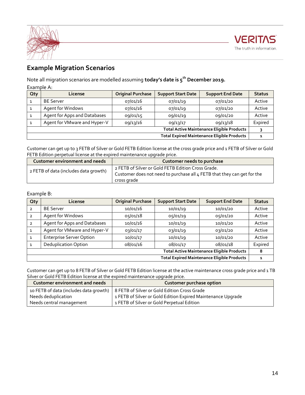

### <span id="page-13-0"></span>**Example Migration Scenarios**

Note all migration scenarios are modelled assuming **today's date is 5th December 2019.**

Example A:

| <b>Qty</b>                                         | License                      | <b>Original Purchase</b> | <b>Support Start Date</b> | <b>Support End Date</b> | <b>Status</b> |
|----------------------------------------------------|------------------------------|--------------------------|---------------------------|-------------------------|---------------|
|                                                    | <b>BE Server</b>             | 07/01/16                 | 07/01/19                  | 07/01/20                | Active        |
|                                                    | Agent for Windows            | 07/01/16                 | 07/01/19                  | 07/01/20                | Active        |
|                                                    | Agent for Apps and Databases | 09/01/15                 | 09/01/19                  | 09/01/20                | Active        |
|                                                    | Agent for VMware and Hyper-V | 09/13/16                 | 09/13/17                  | 09/13/18                | Expired       |
| <b>Total Active Maintenance Eligible Products</b>  |                              |                          |                           |                         |               |
| <b>Total Expired Maintenance Eligible Products</b> |                              |                          |                           |                         |               |

Customer can get up to 3 FETB of Silver or Gold FETB Edition license at the cross grade price and 1 FETB of Silver or Gold FETB Edition perpetual license at the expired maintenance upgrade price.

| Customer environment and needs        | Customer needs to purchase                                                                                                                   |
|---------------------------------------|----------------------------------------------------------------------------------------------------------------------------------------------|
| 2 FETB of data (includes data growth) | 2 FETB of Silver or Gold FETB Edition Cross Grade.<br>Customer does not need to purchase all 4 FETB that they can get for the<br>cross grade |

### Example B:

| <b>Oty</b>                                         | <b>License</b>                  | <b>Original Purchase</b> | <b>Support Start Date</b> | <b>Support End Date</b> | <b>Status</b> |
|----------------------------------------------------|---------------------------------|--------------------------|---------------------------|-------------------------|---------------|
| $\overline{2}$                                     | <b>BE Server</b>                | 10/01/16                 | 10/01/19                  | 10/01/20                | Active        |
| $\overline{2}$                                     | Agent for Windows               | 05/01/18                 | 05/01/19                  | 05/01/20                | Active        |
| $\overline{2}$                                     | Agent for Apps and Databases    | 10/01/16                 | 10/01/19                  | 10/01/20                | Active        |
| $\mathbf{1}$                                       | Agent for VMware and Hyper-V    | 03/01/17                 | 03/01/19                  | 03/01/20                | Active        |
| $\mathbf{1}$                                       | <b>Enterprise Server Option</b> | 10/01/17                 | 10/01/19                  | 10/01/20                | Active        |
|                                                    | <b>Deduplication Option</b>     | 08/01/16                 | 08/01/17                  | 08/01/18                | Expired       |
| <b>Total Active Maintenance Eligible Products</b>  |                                 |                          |                           |                         | 8             |
| <b>Total Expired Maintenance Eligible Products</b> |                                 |                          |                           |                         | 1             |

Customer can get up to 8 FETB of Silver or Gold FETB Edition license at the active maintenance cross grade price and 1 TB Silver or Gold FETB Edition license at the expired maintenance upgrade price.

| <b>Customer environment and needs</b> | <b>Customer purchase option</b>                                                       |
|---------------------------------------|---------------------------------------------------------------------------------------|
|                                       | 10 FETB of data (includes data growth)   8 FETB of Silver or Gold Edition Cross Grade |
| Needs deduplication                   | 1 FETB of Silver or Gold Edition Expired Maintenance Upgrade                          |
| Needs central management              | 1 FETB of Silver or Gold Perpetual Edition                                            |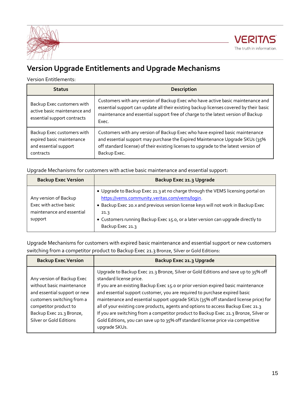



### <span id="page-14-0"></span>**Version Upgrade Entitlements and Upgrade Mechanisms**

Version Entitlements:

| <b>Status</b>                                                                                 | <b>Description</b>                                                                                                                                                                                                                                                     |
|-----------------------------------------------------------------------------------------------|------------------------------------------------------------------------------------------------------------------------------------------------------------------------------------------------------------------------------------------------------------------------|
| Backup Exec customers with<br>active basic maintenance and<br>essential support contracts     | Customers with any version of Backup Exec who have active basic maintenance and<br>essential support can update all their existing backup licenses covered by their basic<br>maintenance and essential support free of charge to the latest version of Backup<br>Exec. |
| Backup Exec customers with<br>expired basic maintenance<br>and essential support<br>contracts | Customers with any version of Backup Exec who have expired basic maintenance<br>and essential support may purchase the Expired Maintenance Upgrade SKUs (35%<br>off standard license) of their existing licenses to upgrade to the latest version of<br>Backup Exec.   |

Upgrade Mechanisms for customers with active basic maintenance and essential support:

| <b>Backup Exec Version</b>                                                              | Backup Exec 21.3 Upgrade                                                                                                                                                                                                                                                                                                               |
|-----------------------------------------------------------------------------------------|----------------------------------------------------------------------------------------------------------------------------------------------------------------------------------------------------------------------------------------------------------------------------------------------------------------------------------------|
| Any version of Backup<br>Exec with active basic<br>maintenance and essential<br>support | • Upgrade to Backup Exec 21.3 at no charge through the VEMS licensing portal on<br>https://vems.community.veritas.com/vems/login.<br>. Backup Exec 20.x and previous version license keys will not work in Backup Exec<br>21.3<br>• Customers running Backup Exec 15.0, or a later version can upgrade directly to<br>Backup Exec 21.3 |

Upgrade Mechanisms for customers with expired basic maintenance and essential support or new customers switching from a competitor product to Backup Exec 21.3 Bronze, Silver or Gold Editions:

| <b>Backup Exec Version</b>                                                                                                                                                                            | Backup Exec 21.3 Upgrade                                                                                                                                                                                                                                                                                                                                                                                                                                                                                                                                                                                                                                   |
|-------------------------------------------------------------------------------------------------------------------------------------------------------------------------------------------------------|------------------------------------------------------------------------------------------------------------------------------------------------------------------------------------------------------------------------------------------------------------------------------------------------------------------------------------------------------------------------------------------------------------------------------------------------------------------------------------------------------------------------------------------------------------------------------------------------------------------------------------------------------------|
| Any version of Backup Exec<br>without basic maintenance<br>and essential support or new<br>customers switching from a<br>competitor product to<br>Backup Exec 21.3 Bronze,<br>Silver or Gold Editions | Upgrade to Backup Exec 21.3 Bronze, Silver or Gold Editions and save up to 35% off<br>standard license price.<br>If you are an existing Backup Exec 15.0 or prior version expired basic maintenance<br>and essential support customer, you are required to purchase expired basic<br>maintenance and essential support upgrade SKUs (35% off standard license price) for<br>all of your existing core products, agents and options to access Backup Exec 21.3<br>If you are switching from a competitor product to Backup Exec 21.3 Bronze, Silver or<br>Gold Editions, you can save up to 35% off standard license price via competitive<br>upgrade SKUs. |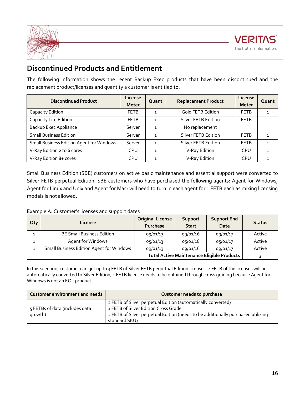

### <span id="page-15-0"></span>**Discontinued Products and Entitlement**

The following information shows the recent Backup Exec products that have been discontinued and the replacement product/licenses and quantity a customer is entitled to.

| <b>Discontinued Product</b>                     | License<br><b>Meter</b> | Quant        | <b>Replacement Product</b> | License<br><b>Meter</b> | Quant |
|-------------------------------------------------|-------------------------|--------------|----------------------------|-------------------------|-------|
| Capacity Edition                                | <b>FETB</b>             | $\mathbf{1}$ | <b>Gold FETB Edition</b>   | <b>FETB</b>             |       |
| Capacity Lite Edition                           | <b>FETB</b>             | $\mathbf{1}$ | Silver FETB Edition        | <b>FETB</b>             |       |
| <b>Backup Exec Appliance</b>                    | Server                  | $\mathbf{1}$ | No replacement             |                         |       |
| <b>Small Business Edition</b>                   | Server                  | $\mathbf{1}$ | Silver FETB Edition        | <b>FETB</b>             |       |
| <b>Small Business Edition Agent for Windows</b> | Server                  | $\mathbf{1}$ | Silver FETB Edition        | <b>FETB</b>             |       |
| V-Ray Edition 2 to 6 cores                      | <b>CPU</b>              | $\mathbf{1}$ | V-Ray Edition              | <b>CPU</b>              |       |
| V-Ray Edition 8+ cores                          | <b>CPU</b>              | $\mathbf{1}$ | V-Ray Edition              | <b>CPU</b>              |       |

Small Business Edition (SBE) customers on active basic maintenance and essential support were converted to Silver FETB perpetual Edition. SBE customers who have purchased the following agents: Agent for Windows, Agent for Linux and Unix and Agent for Mac; will need to turn in each agent for 1 FETB each as mixing licensing models is not allowed.

### Example A: Customer's licenses and support dates

| <b>Qty</b>                                        | License                                  | <b>Original License</b><br><b>Purchase</b> | Support<br><b>Start</b> | <b>Support End</b><br>Date | <b>Status</b> |
|---------------------------------------------------|------------------------------------------|--------------------------------------------|-------------------------|----------------------------|---------------|
| 1                                                 | <b>BE Small Business Edition</b>         | 09/01/13                                   | 09/01/16                | 09/01/17                   | Active        |
| 1                                                 | Agent for Windows                        | 05/01/13                                   | 05/01/16                | 05/01/17                   | Active        |
| ┑                                                 | Small Business Edition Agent for Windows | 09/01/13                                   | 09/01/16                | 09/01/17                   | Active        |
| <b>Total Active Maintenance Eligible Products</b> |                                          |                                            |                         |                            |               |

In this scenario, customer can get up to 3 FETB of Silver FETB perpetual Edition licenses. 2 FETB of the licenses will be automatically converted to Silver Edition; 1 FETB license needs to be obtained through cross grading because Agent for Windows is not an EOL product.

| Customer environment and needs            | Customer needs to purchase                                                                                                                                                                                |
|-------------------------------------------|-----------------------------------------------------------------------------------------------------------------------------------------------------------------------------------------------------------|
| 5 FETBs of data (includes data<br>growth) | 2 FETB of Silver perpetual Edition (automatically converted)<br>1 FETB of Silver Edition Cross Grade<br>2 FETB of Silver perpetual Edition (needs to be additionally purchased utilizing<br>standard SKU) |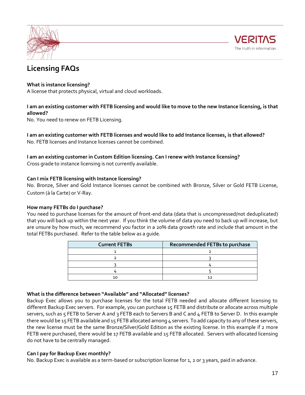



### <span id="page-16-0"></span>**Licensing FAQs**

### **What is instance licensing?**

A license that protects physical, virtual and cloud workloads.

### **I am an existing customer with FETB licensing and would like to move to the new Instance licensing, is that allowed?**

No. You need to renew on FETB Licensing.

**I am an existing customer with FETB licenses and would like to add Instance licenses, is that allowed?** No. FETB licenses and Instance licenses cannot be combined.

### **I am an existing customer in Custom Edition licensing. Can I renew with Instance licensing?**

Cross grade to instance licensing is not currently available.

### **Can I mix FETB licensing with Instance licensing?**

No. Bronze, Silver and Gold Instance licenses cannot be combined with Bronze, Silver or Gold FETB License, Custom (à la Carte) or V-Ray.

### **How many FETBs do I purchase?**

You need to purchase licenses for the amount of front-end data (data that is uncompressed/not deduplicated) that you will back up within the next year. If you think the volume of data you need to back up will increase, but are unsure by how much, we recommend you factor in a 20% data growth rate and include that amount in the total FETBs purchased. Refer to the table below as a guide.

| <b>Current FETBs</b> | Recommended FETBs to purchase |
|----------------------|-------------------------------|
|                      |                               |
|                      |                               |
|                      |                               |
|                      |                               |
|                      |                               |

### **What is the difference between "Available" and "Allocated" licenses?**

Backup Exec allows you to purchase licenses for the total FETB needed and allocate different licensing to different Backup Exec servers. For example, you can purchase 15 FETB and distribute or allocate across multiple servers, such as 5 FETB to Server A and 3 FETB each to Servers B and C and 4 FETB to Server D. In this example there would be 15 FETB available and 15 FETB allocated among 4 servers. To add capacity to any of these servers, the new license must be the same Bronze/Silver/Gold Edition as the existing license. In this example if 2 more FETB were purchased, there would be 17 FETB available and 15 FETB allocated. Servers with allocated licensing do not have to be centrally managed.

### **Can I pay for Backup Exec monthly?**

No. Backup Exec is available as a term-based or subscription license for 1, 2 or 3 years, paid in advance.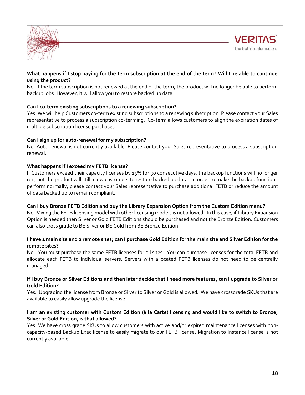



### **What happens if I stop paying for the term subscription at the end of the term? Will I be able to continue using the product?**

No. If the term subscription is not renewed at the end of the term, the product will no longer be able to perform backup jobs. However, it will allow you to restore backed up data.

### **Can I co-term existing subscriptions to a renewing subscription?**

Yes. We will help Customers co-term existing subscriptions to a renewing subscription. Please contact your Sales representative to process a subscription co-terming. Co-term allows customers to align the expiration dates of multiple subscription license purchases.

#### **Can I sign up for auto-renewal for my subscription?**

No. Auto-renewal is not currently available. Please contact your Sales representative to process a subscription renewal.

### **What happens if I exceed my FETB license?**

If Customers exceed their capacity licenses by 15% for 30 consecutive days, the backup functions will no longer run, but the product will still allow customers to restore backed up data. In order to make the backup functions perform normally, please contact your Sales representative to purchase additional FETB or reduce the amount of data backed up to remain compliant.

#### **Can I buy Bronze FETB Edition and buy the Library Expansion Option from the Custom Edition menu?**

No. Mixing the FETB licensing model with other licensing models is not allowed. In this case, if Library Expansion Option is needed then Silver or Gold FETB Editions should be purchased and not the Bronze Edition. Customers can also cross grade to BE Silver or BE Gold from BE Bronze Edition.

#### **I have 1 main site and 2 remote sites; can I purchase Gold Edition for the main site and Silver Edition for the remote sites?**

No. You must purchase the same FETB licenses for all sites. You can purchase licenses for the total FETB and allocate each FETB to individual servers. Servers with allocated FETB licenses do not need to be centrally managed.

#### **If I buy Bronze or Silver Editions and then later decide that I need more features, can I upgrade to Silver or Gold Edition?**

Yes. Upgrading the license from Bronze or Silver to Silver or Gold is allowed. We have crossgrade SKUs that are available to easily allow upgrade the license.

#### **I am an existing customer with Custom Edition (à la Carte) licensing and would like to switch to Bronze, Silver or Gold Edition, is that allowed?**

Yes. We have cross grade SKUs to allow customers with active and/or expired maintenance licenses with noncapacity-based Backup Exec license to easily migrate to our FETB license. Migration to Instance license is not currently available.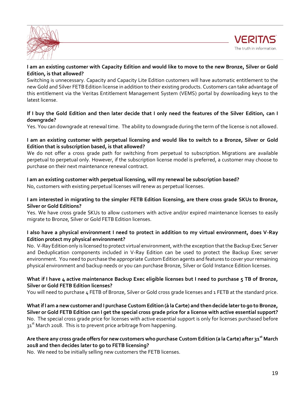![](_page_18_Picture_0.jpeg)

![](_page_18_Picture_1.jpeg)

### **I am an existing customer with Capacity Edition and would like to move to the new Bronze, Silver or Gold Edition, is that allowed?**

Switching is unnecessary. Capacity and Capacity Lite Edition customers will have automatic entitlement to the new Gold and Silver FETB Edition license in addition to their existing products. Customers can take advantage of this entitlement via the Veritas Entitlement Management System (VEMS) portal by downloading keys to the latest license.

### **If I buy the Gold Edition and then later decide that I only need the features of the Silver Edition, can I downgrade?**

Yes. You can downgrade at renewal time. The ability to downgrade during the term of the license is not allowed.

#### **I am an existing customer with perpetual licensing and would like to switch to a Bronze, Silver or Gold Edition that is subscription based, is that allowed?**

We do not offer a cross grade path for switching from perpetual to subscription. Migrations are available perpetual to perpetual only. However, if the subscription license model is preferred, a customer may choose to purchase on their next maintenance renewal contract.

### **I am an existing customer with perpetual licensing, will my renewal be subscription based?**

No, customers with existing perpetual licenses will renew as perpetual licenses.

### **I am interested in migrating to the simpler FETB Edition licensing, are there cross grade SKUs to Bronze, Silver or Gold Editions?**

Yes. We have cross grade SKUs to allow customers with active and/or expired maintenance licenses to easily migrate to Bronze, Silver or Gold FETB Edition licenses.

### **I also have a physical environment I need to protect in addition to my virtual environment, does V-Ray Edition protect my physical environment?**

No. V-Ray Edition only is licensed to protect virtual environment, with the exception that the Backup Exec Server and Deduplication components included in V-Ray Edition can be used to protect the Backup Exec server environment. You need to purchase the appropriate Custom Edition agents and features to cover your remaining physical environment and backup needs or you can purchase Bronze, Silver or Gold Instance Edition licenses.

### **What if I have 4 active maintenance Backup Exec eligible licenses but I need to purchase 5 TB of Bronze, Silver or Gold FETB Edition licenses?**

You will need to purchase 4 FETB of Bronze, Silver or Gold cross grade licenses and 1 FETB at the standard price.

**What if I am a new customer and I purchase Custom Edition (à la Carte) and then decide later to go to Bronze, Silver or Gold FETB Edition can I get the special cross grade price for a license with active essential support?** No. The special cross grade price for licenses with active essential support is only for licenses purchased before 31<sup>st</sup> March 2018. This is to prevent price arbitrage from happening.

### **Are there any cross grade offers for new customers who purchase Custom Edition (a la Carte) after 31st March 2018 and then decides later to go to FETB licensing?**

No. We need to be initially selling new customers the FETB licenses.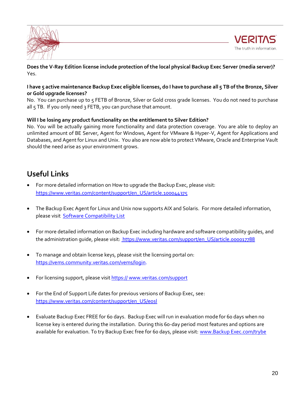![](_page_19_Picture_0.jpeg)

![](_page_19_Picture_1.jpeg)

**Does the V-Ray Edition license include protection of the local physical Backup Exec Server (media server)?** Yes.

### **I have 5 active maintenance Backup Exec eligible licenses, do I have to purchase all 5 TB of the Bronze, Silver or Gold upgrade licenses?**

No. You can purchase up to 5 FETB of Bronze, Silver or Gold cross grade licenses. You do not need to purchase all 5 TB. If you only need 3 FETB, you can purchase that amount.

### **Will I be losing any product functionality on the entitlement to Silver Edition?**

No. You will be actually gaining more functionality and data protection coverage. You are able to deploy an unlimited amount of BE Server, Agent for Windows, Agent for VMware & Hyper-V, Agent for Applications and Databases, and Agent for Linux and Unix. You also are now able to protect VMware, Oracle and Enterprise Vault should the need arise as your environment grows.

### <span id="page-19-0"></span>**Useful Links**

- For more detailed information on How to upgrade the Backup Exec, please visit: [https://www.veritas.com/content/support/en\\_US/article.100044375](https://www.veritas.com/content/support/en_US/article.100044375)
- The Backup Exec Agent for Linux and Unix now supports AIX and Solaris. For more detailed information, please visit [Software Compatibility List](https://www.veritas.com/content/support/en_US/doc/BE_20_SCL)
- For more detailed information on Backup Exec including hardware and software compatibility guides, and the administration guide, please visit: https://www.veritas.com/support/en\_US/article.000017788
- To manage and obtain license keys, please visit the licensing portal on: [https://vems.community.veritas.com/vems/login.](https://vems.community.veritas.com/vems/login)
- For licensing support, please visit https://www.veritas.com/support
- For the End of Support Life dates for previous versions of Backup Exec, see: [https://www.veritas.com/content/support/en\\_US/eosl](https://www.veritas.com/content/support/en_US/eosl)
- Evaluate Backup Exec FREE for 60 days. Backup Exec will run in evaluation mode for 60 days when no license key is entered during the installation. During this 60-day period most features and options are available for evaluation. To try Backup Exec free for 60 days, please visit: www.Backup Exec.com/trybe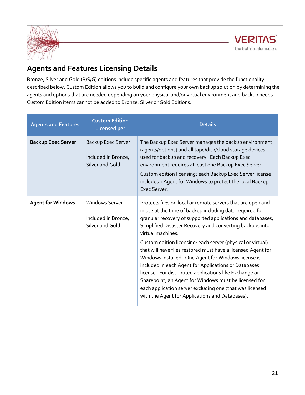![](_page_20_Picture_0.jpeg)

![](_page_20_Picture_1.jpeg)

### <span id="page-20-0"></span>**Agents and Features Licensing Details**

Bronze, Silver and Gold (B/S/G) editions include specific agents and features that provide the functionality described below. Custom Edition allows you to build and configure your own backup solution by determining the agents and options that are needed depending on your physical and/or virtual environment and backup needs. Custom Edition items cannot be added to Bronze, Silver or Gold Editions.

| <b>Agents and Features</b> | <b>Custom Edition</b><br><b>Licensed per</b>                    | <b>Details</b>                                                                                                                                                                                                                                                                                                                                                                                                                                                                                                                                                                                                                                                                                                                                         |
|----------------------------|-----------------------------------------------------------------|--------------------------------------------------------------------------------------------------------------------------------------------------------------------------------------------------------------------------------------------------------------------------------------------------------------------------------------------------------------------------------------------------------------------------------------------------------------------------------------------------------------------------------------------------------------------------------------------------------------------------------------------------------------------------------------------------------------------------------------------------------|
| <b>Backup Exec Server</b>  | Backup Exec Server<br>Included in Bronze,<br>Silver and Gold    | The Backup Exec Server manages the backup environment<br>(agents/options) and all tape/disk/cloud storage devices<br>used for backup and recovery. Each Backup Exec<br>environment requires at least one Backup Exec Server.<br>Custom edition licensing: each Backup Exec Server license<br>includes 1 Agent for Windows to protect the local Backup<br>Exec Server.                                                                                                                                                                                                                                                                                                                                                                                  |
| <b>Agent for Windows</b>   | <b>Windows Server</b><br>Included in Bronze,<br>Silver and Gold | Protects files on local or remote servers that are open and<br>in use at the time of backup including data required for<br>granular recovery of supported applications and databases,<br>Simplified Disaster Recovery and converting backups into<br>virtual machines.<br>Custom edition licensing: each server (physical or virtual)<br>that will have files restored must have a licensed Agent for<br>Windows installed. One Agent for Windows license is<br>included in each Agent for Applications or Databases<br>license. For distributed applications like Exchange or<br>Sharepoint, an Agent for Windows must be licensed for<br>each application server excluding one (that was licensed<br>with the Agent for Applications and Databases). |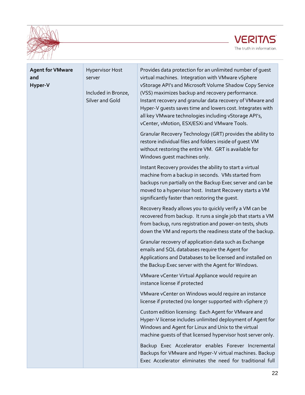![](_page_21_Picture_0.jpeg)

![](_page_21_Picture_1.jpeg)

| <b>Agent for VMware</b><br>and<br>Hyper-V | <b>Hypervisor Host</b><br>server<br>Included in Bronze,<br>Silver and Gold | Provides data protection for an unlimited number of quest<br>virtual machines. Integration with VMware vSphere<br>vStorage API's and Microsoft Volume Shadow Copy Service<br>(VSS) maximizes backup and recovery performance.<br>Instant recovery and granular data recovery of VMware and<br>Hyper-V guests saves time and lowers cost. Integrates with<br>all key VMware technologies including vStorage API's,<br>vCenter, vMotion, ESX/ESXi and VMware Tools.<br>Granular Recovery Technology (GRT) provides the ability to |
|-------------------------------------------|----------------------------------------------------------------------------|---------------------------------------------------------------------------------------------------------------------------------------------------------------------------------------------------------------------------------------------------------------------------------------------------------------------------------------------------------------------------------------------------------------------------------------------------------------------------------------------------------------------------------|
|                                           |                                                                            | restore individual files and folders inside of quest VM<br>without restoring the entire VM. GRT is available for<br>Windows guest machines only.                                                                                                                                                                                                                                                                                                                                                                                |
|                                           |                                                                            | Instant Recovery provides the ability to start a virtual<br>machine from a backup in seconds. VMs started from<br>backups run partially on the Backup Exec server and can be<br>moved to a hypervisor host. Instant Recovery starts a VM<br>significantly faster than restoring the guest.                                                                                                                                                                                                                                      |
|                                           |                                                                            | Recovery Ready allows you to quickly verify a VM can be<br>recovered from backup. It runs a single job that starts a VM<br>from backup, runs registration and power-on tests, shuts<br>down the VM and reports the readiness state of the backup.                                                                                                                                                                                                                                                                               |
|                                           |                                                                            | Granular recovery of application data such as Exchange<br>emails and SQL databases require the Agent for<br>Applications and Databases to be licensed and installed on<br>the Backup Exec server with the Agent for Windows.                                                                                                                                                                                                                                                                                                    |
|                                           |                                                                            | VMware vCenter Virtual Appliance would require an<br>instance license if protected                                                                                                                                                                                                                                                                                                                                                                                                                                              |
|                                           |                                                                            | VMware vCenter on Windows would require an instance<br>license if protected (no longer supported with vSphere 7)                                                                                                                                                                                                                                                                                                                                                                                                                |
|                                           |                                                                            | Custom edition licensing: Each Agent for VMware and<br>Hyper-V license includes unlimited deployment of Agent for<br>Windows and Agent for Linux and Unix to the virtual<br>machine guests of that licensed hypervisor host server only.                                                                                                                                                                                                                                                                                        |
|                                           |                                                                            | Backup Exec Accelerator enables Forever Incremental<br>Backups for VMware and Hyper-V virtual machines. Backup<br>Exec Accelerator eliminates the need for traditional full                                                                                                                                                                                                                                                                                                                                                     |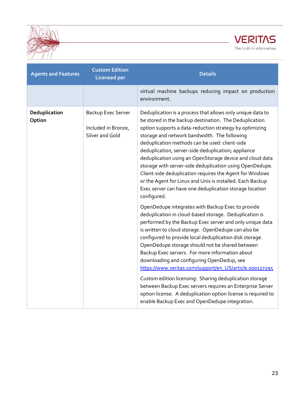![](_page_22_Picture_0.jpeg)

![](_page_22_Picture_1.jpeg)

| <b>Agents and Features</b> | <b>Custom Edition</b><br><b>Licensed per</b>                 | <b>Details</b>                                                                                                                                                                                                                                                                                                                                                                                                                                                                                                                                                                                                                                                                                                                                      |
|----------------------------|--------------------------------------------------------------|-----------------------------------------------------------------------------------------------------------------------------------------------------------------------------------------------------------------------------------------------------------------------------------------------------------------------------------------------------------------------------------------------------------------------------------------------------------------------------------------------------------------------------------------------------------------------------------------------------------------------------------------------------------------------------------------------------------------------------------------------------|
|                            |                                                              | virtual machine backups reducing impact on production<br>environment.                                                                                                                                                                                                                                                                                                                                                                                                                                                                                                                                                                                                                                                                               |
| Deduplication<br>Option    | Backup Exec Server<br>Included in Bronze,<br>Silver and Gold | Deduplication is a process that allows only unique data to<br>be stored in the backup destination. The Deduplication<br>option supports a data-reduction strategy by optimizing<br>storage and network bandwidth. The following<br>deduplication methods can be used: client-side<br>deduplication, server-side deduplication; appliance<br>deduplication using an OpenStorage device and cloud data<br>storage with server-side deduplication using OpenDedupe.<br>Client-side deduplication requires the Agent for Windows<br>or the Agent for Linux and Unix is installed. Each Backup<br>Exec server can have one deduplication storage location<br>configured.                                                                                 |
|                            |                                                              | OpenDedupe integrates with Backup Exec to provide<br>deduplication in cloud-based storage. Deduplication is<br>performed by the Backup Exec server and only unique data<br>is written to cloud storage. OpenDedupe can also be<br>configured to provide local deduplication disk storage.<br>OpenDedupe storage should not be shared between<br>Backup Exec servers. For more information about<br>downloading and configuring OpenDedup, see<br>https://www.veritas.com/support/en_US/article.000127295<br>Custom edition licensing: Sharing deduplication storage<br>between Backup Exec servers requires an Enterprise Server<br>option license. A deduplication option license is required to<br>enable Backup Exec and OpenDedupe integration. |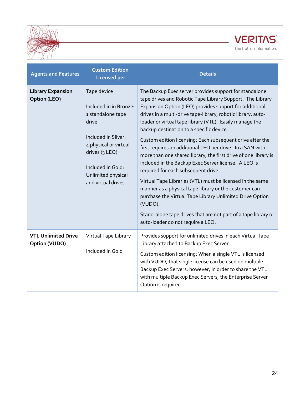![](_page_23_Picture_0.jpeg)

![](_page_23_Picture_1.jpeg)

| <b>Agents and Features</b>                      | <b>Custom Edition</b><br><b>Licensed per</b>                                                                                                                                                           | <b>Details</b>                                                                                                                                                                                                                                                                                                                                                                                                                                                                                                                                                                                                                                                                                                                                                                                                                                                                                                                                       |
|-------------------------------------------------|--------------------------------------------------------------------------------------------------------------------------------------------------------------------------------------------------------|------------------------------------------------------------------------------------------------------------------------------------------------------------------------------------------------------------------------------------------------------------------------------------------------------------------------------------------------------------------------------------------------------------------------------------------------------------------------------------------------------------------------------------------------------------------------------------------------------------------------------------------------------------------------------------------------------------------------------------------------------------------------------------------------------------------------------------------------------------------------------------------------------------------------------------------------------|
| <b>Library Expansion</b><br><b>Option (LEO)</b> | Tape device<br>Included in in Bronze:<br>1 standalone tape<br>drive<br>Included in Silver:<br>4 physical or virtual<br>drives (3 LEO)<br>Included in Gold:<br>Unlimited physical<br>and virtual drives | The Backup Exec server provides support for standalone<br>tape drives and Robotic Tape Library Support. The Library<br>Expansion Option (LEO) provides support for additional<br>drives in a multi-drive tape-library, robotic library, auto-<br>loader or virtual tape library (VTL). Easily manage the<br>backup destination to a specific device.<br>Custom edition licensing: Each subsequent drive after the<br>first requires an additional LEO per drive. In a SAN with<br>more than one shared library, the first drive of one library is<br>included in the Backup Exec Server license. A LEO is<br>required for each subsequent drive.<br>Virtual Tape Libraries (VTL) must be licensed in the same<br>manner as a physical tape library or the customer can<br>purchase the Virtual Tape Library Unlimited Drive Option<br>(VUDO).<br>Stand-alone tape drives that are not part of a tape library or<br>auto-loader do not require a LEO. |
| <b>VTL Unlimited Drive</b><br>Option (VUDO)     | Virtual Tape Library<br>Included in Gold                                                                                                                                                               | Provides support for unlimited drives in each Virtual Tape<br>Library attached to Backup Exec Server.<br>Custom edition licensing: When a single VTL is licensed<br>with VUDO, that single license can be used on multiple<br>Backup Exec Servers; however, in order to share the VTL<br>with multiple Backup Exec Servers, the Enterprise Server<br>Option is required.                                                                                                                                                                                                                                                                                                                                                                                                                                                                                                                                                                             |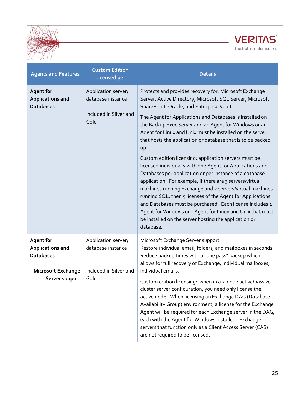![](_page_24_Picture_0.jpeg)

![](_page_24_Picture_1.jpeg)

| <b>Agents and Features</b>                                                                                     | <b>Custom Edition</b><br><b>Licensed per</b>                               | <b>Details</b>                                                                                                                                                                                                                                                                                                                                                                                                                                                                                                                                                                                                                                                                                                                                                                                                                                                                                                                                                                                |
|----------------------------------------------------------------------------------------------------------------|----------------------------------------------------------------------------|-----------------------------------------------------------------------------------------------------------------------------------------------------------------------------------------------------------------------------------------------------------------------------------------------------------------------------------------------------------------------------------------------------------------------------------------------------------------------------------------------------------------------------------------------------------------------------------------------------------------------------------------------------------------------------------------------------------------------------------------------------------------------------------------------------------------------------------------------------------------------------------------------------------------------------------------------------------------------------------------------|
| <b>Agent for</b><br><b>Applications and</b><br><b>Databases</b>                                                | Application server/<br>database instance<br>Included in Silver and<br>Gold | Protects and provides recovery for: Microsoft Exchange<br>Server, Active Directory, Microsoft SQL Server, Microsoft<br>SharePoint, Oracle, and Enterprise Vault.<br>The Agent for Applications and Databases is installed on<br>the Backup Exec Server and an Agent for Windows or an<br>Agent for Linux and Unix must be installed on the server<br>that hosts the application or database that is to be backed<br>up.<br>Custom edition licensing: application servers must be<br>licensed individually with one Agent for Applications and<br>Databases per application or per instance of a database<br>application. For example, if there are 3 servers/virtual<br>machines running Exchange and 2 servers/virtual machines<br>running SQL, then 5 licenses of the Agent for Applications<br>and Databases must be purchased. Each license includes 1<br>Agent for Windows or 1 Agent for Linux and Unix that must<br>be installed on the server hosting the application or<br>database. |
| <b>Agent for</b><br><b>Applications and</b><br><b>Databases</b><br><b>Microsoft Exchange</b><br>Server support | Application server/<br>database instance<br>Included in Silver and<br>Gold | Microsoft Exchange Server support<br>Restore individual email, folders, and mailboxes in seconds.<br>Reduce backup times with a "one pass" backup which<br>allows for full recovery of Exchange, individual mailboxes,<br>individual emails.<br>Custom edition licensing: when in a 2-node active/passive<br>cluster server configuration, you need only license the<br>active node. When licensing an Exchange DAG (Database<br>Availability Group) environment, a license for the Exchange<br>Agent will be required for each Exchange server in the DAG,<br>each with the Agent for Windows installed. Exchange<br>servers that function only as a Client Access Server (CAS)<br>are not required to be licensed.                                                                                                                                                                                                                                                                          |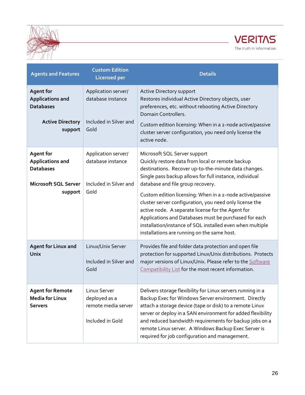![](_page_25_Picture_0.jpeg)

![](_page_25_Picture_1.jpeg)

| <b>Agents and Features</b>                                                                                | <b>Custom Edition</b><br><b>Licensed per</b>                               | <b>Details</b>                                                                                                                                                                                                                                                                                                                                                                                                                                                                                                                                                                             |
|-----------------------------------------------------------------------------------------------------------|----------------------------------------------------------------------------|--------------------------------------------------------------------------------------------------------------------------------------------------------------------------------------------------------------------------------------------------------------------------------------------------------------------------------------------------------------------------------------------------------------------------------------------------------------------------------------------------------------------------------------------------------------------------------------------|
| <b>Agent for</b><br><b>Applications and</b><br><b>Databases</b><br><b>Active Directory</b><br>support     | Application server/<br>database instance<br>Included in Silver and<br>Gold | Active Directory support<br>Restores individual Active Directory objects, user<br>preferences, etc. without rebooting Active Directory<br>Domain Controllers.<br>Custom edition licensing: When in a 2-node active/passive<br>cluster server configuration, you need only license the<br>active node.                                                                                                                                                                                                                                                                                      |
| <b>Agent for</b><br><b>Applications and</b><br><b>Databases</b><br><b>Microsoft SQL Server</b><br>support | Application server/<br>database instance<br>Included in Silver and<br>Gold | Microsoft SQL Server support<br>Quickly restore data from local or remote backup<br>destinations. Recover up-to-the-minute data changes.<br>Single pass backup allows for full instance, individual<br>database and file group recovery.<br>Custom edition licensing: When in a 2-node active/passive<br>cluster server configuration, you need only license the<br>active node. A separate license for the Agent for<br>Applications and Databases must be purchased for each<br>installation/instance of SQL installed even when multiple<br>installations are running on the same host. |
| <b>Agent for Linux and</b><br>Unix                                                                        | Linux/Unix Server<br>Included in Silver and<br>Gold                        | Provides file and folder data protection and open file<br>protection for supported Linux/Unix distributions. Protects<br>major versions of Linux/Unix. Please refer to the Software<br>Compatibility List for the most recent information.                                                                                                                                                                                                                                                                                                                                                 |
| <b>Agent for Remote</b><br><b>Media for Linux</b><br><b>Servers</b>                                       | Linux Server<br>deployed as a<br>remote media server<br>Included in Gold   | Delivers storage flexibility for Linux servers running in a<br>Backup Exec for Windows Server environment. Directly<br>attach a storage device (tape or disk) to a remote Linux<br>server or deploy in a SAN environment for added flexibility<br>and reduced bandwidth requirements for backup jobs on a<br>remote Linux server. A Windows Backup Exec Server is<br>required for job configuration and management.                                                                                                                                                                        |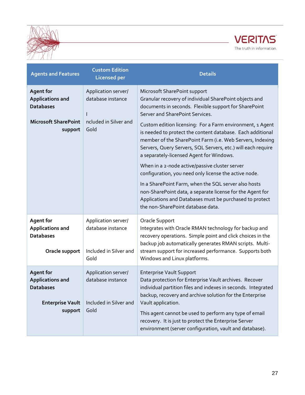![](_page_26_Picture_0.jpeg)

![](_page_26_Picture_1.jpeg)

| <b>Agents and Features</b>                                                                            | <b>Custom Edition</b><br><b>Licensed per</b>                               | <b>Details</b>                                                                                                                                                                                                                                                                                                                                                                                                                                                                                                                   |
|-------------------------------------------------------------------------------------------------------|----------------------------------------------------------------------------|----------------------------------------------------------------------------------------------------------------------------------------------------------------------------------------------------------------------------------------------------------------------------------------------------------------------------------------------------------------------------------------------------------------------------------------------------------------------------------------------------------------------------------|
| <b>Agent for</b><br><b>Applications and</b><br><b>Databases</b>                                       | Application server/<br>database instance                                   | Microsoft SharePoint support<br>Granular recovery of individual SharePoint objects and<br>documents in seconds. Flexible support for SharePoint<br>Server and SharePoint Services.                                                                                                                                                                                                                                                                                                                                               |
| <b>Microsoft SharePoint</b><br>support                                                                | ncluded in Silver and<br>Gold                                              | Custom edition licensing: For a Farm environment, 1 Agent<br>is needed to protect the content database. Each additional<br>member of the SharePoint Farm (i.e. Web Servers, Indexing<br>Servers, Query Servers, SQL Servers, etc.) will each require<br>a separately-licensed Agent for Windows.<br>When in a 2-node active/passive cluster server<br>configuration, you need only license the active node.<br>In a SharePoint Farm, when the SQL server also hosts<br>non-SharePoint data, a separate license for the Agent for |
|                                                                                                       |                                                                            | Applications and Databases must be purchased to protect<br>the non-SharePoint database data.                                                                                                                                                                                                                                                                                                                                                                                                                                     |
| <b>Agent for</b><br><b>Applications and</b><br><b>Databases</b><br>Oracle support                     | Application server/<br>database instance<br>Included in Silver and<br>Gold | Oracle Support<br>Integrates with Oracle RMAN technology for backup and<br>recovery operations. Simple point and click choices in the<br>backup job automatically generates RMAN scripts. Multi-<br>stream support for increased performance. Supports both<br>Windows and Linux platforms.                                                                                                                                                                                                                                      |
| <b>Agent for</b><br><b>Applications and</b><br><b>Databases</b><br><b>Enterprise Vault</b><br>support | Application server/<br>database instance<br>Included in Silver and<br>Gold | <b>Enterprise Vault Support</b><br>Data protection for Enterprise Vault archives. Recover<br>individual partition files and indexes in seconds. Integrated<br>backup, recovery and archive solution for the Enterprise<br>Vault application.<br>This agent cannot be used to perform any type of email<br>recovery. It is just to protect the Enterprise Server<br>environment (server configuration, vault and database).                                                                                                       |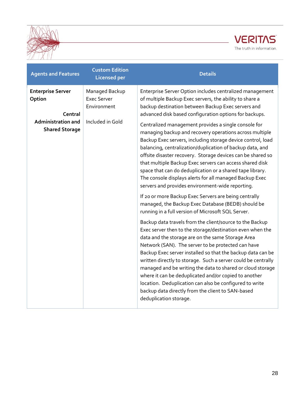![](_page_27_Picture_0.jpeg)

![](_page_27_Picture_1.jpeg)

| <b>Agents and Features</b>                                                                          | <b>Custom Edition</b><br><b>Licensed per</b>                            | <b>Details</b>                                                                                                                                                                                                                                                                                                                                                                                                                                                                                                                                                                                                                                                                                                                                                                                                                                                                                                                                                                                                                                                                                                                                                                                                                                                                                                                                                                                                                                                                                                                                                                                      |
|-----------------------------------------------------------------------------------------------------|-------------------------------------------------------------------------|-----------------------------------------------------------------------------------------------------------------------------------------------------------------------------------------------------------------------------------------------------------------------------------------------------------------------------------------------------------------------------------------------------------------------------------------------------------------------------------------------------------------------------------------------------------------------------------------------------------------------------------------------------------------------------------------------------------------------------------------------------------------------------------------------------------------------------------------------------------------------------------------------------------------------------------------------------------------------------------------------------------------------------------------------------------------------------------------------------------------------------------------------------------------------------------------------------------------------------------------------------------------------------------------------------------------------------------------------------------------------------------------------------------------------------------------------------------------------------------------------------------------------------------------------------------------------------------------------------|
| <b>Enterprise Server</b><br>Option<br>Central<br><b>Administration and</b><br><b>Shared Storage</b> | Managed Backup<br><b>Exec Server</b><br>Environment<br>Included in Gold | Enterprise Server Option includes centralized management<br>of multiple Backup Exec servers, the ability to share a<br>backup destination between Backup Exec servers and<br>advanced disk based configuration options for backups.<br>Centralized management provides a single console for<br>managing backup and recovery operations across multiple<br>Backup Exec servers, including storage device control, load<br>balancing, centralization/duplication of backup data, and<br>offsite disaster recovery. Storage devices can be shared so<br>that multiple Backup Exec servers can access shared disk<br>space that can do deduplication or a shared tape library.<br>The console displays alerts for all managed Backup Exec<br>servers and provides environment-wide reporting.<br>If 20 or more Backup Exec Servers are being centrally<br>managed, the Backup Exec Database (BEDB) should be<br>running in a full version of Microsoft SQL Server.<br>Backup data travels from the client/source to the Backup<br>Exec server then to the storage/destination even when the<br>data and the storage are on the same Storage Area<br>Network (SAN). The server to be protected can have<br>Backup Exec server installed so that the backup data can be<br>written directly to storage. Such a server could be centrally<br>managed and be writing the data to shared or cloud storage<br>where it can be deduplicated and/or copied to another<br>location. Deduplication can also be configured to write<br>backup data directly from the client to SAN-based<br>deduplication storage. |